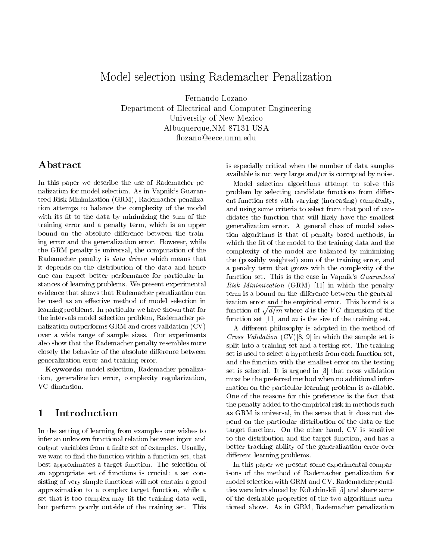# Model selection using Rademacher Penalization

Fernando Lozano Department of Electrical and Computer Engineering University of New Mexico Albuquerque,NM 87131 USA

### ${\bf Abstract}$

In this paper we describe the use of Rademacher penalization for model selection. As in Vapnik's Guaranteed Risk Minimization (GRM), Rademacher penalization attemps to balance the complexity of the model with its fit to the data by minimizing the sum of the training error and a penalty term, which is an upper bound on the absolute difference between the training error and the generalization error. However, while the GRM penalty is universal, the computation of the Rademacher penalty is data driven which means that it depends on the distribution of the data and hence one can expect better performance for particular instances of learning problems. We present experimental evidence that shows that Rademacher penalization can be used as an effective method of model selection in be used as an eective method of model selection in learning problems. In particular we have shown that for the intervals model selection problem, Rademacher penalization outperforms GRM and cross validation (CV) over a wide range of sample sizes. Our experiments also show that the Rademacher penalty resembles more closely the behavior of the absolute difference between generalization error and training error.

Keywords: model selection, Rademacher penalization, generalization error, complexity regularization, VC dimension.

## 1

In the setting of learning from examples one wishes to infer an unknown functional relation between input and output variables from a finite set of examples. Usually, we want to find the function within a function set, that best approximates a target function. The selection of an appropriate set of functions is crucial: a set consisting of very simple functions will not contain a good approximation to a complex target function, while a set that is too complex may fit the training data well, but perform poorly outside of the training set. This is especially critical when the number of data samples available is not very large and/or is corrupted by noise.

Model selection algorithms attempt to solve this problem by selecting candidate functions from different function sets with varying (increasing) complexity, and using some criteria to select from that pool of candidates the function that will likely have the smallest generalization error. A general class of model selection algorithms is that of penalty-based methods, in which the fit of the model to the training data and the complexity of the model are balanced by minimizing the (possibly weighted) sum of the training error, and a penalty term that grows with the complexity of the function set. This is the case in Vapnik's Guaranteed Risk Minimization (GRM) [11] in which the penalty term is a bound on the difference between the generalization error and the empirical error. This bound is a function of  $\sqrt{d/m}$  where d is the VC dimension of the function set  $[11]$  and m is the size of the training set.

A different philosophy is adopted in the method of Cross Validation  $(CV)[8, 9]$  in which the sample set is split into a training set and a testing set. The training set is used to select a hypothesis from each function set, and the function with the smallest error on the testing set is selected. It is argued in [3] that cross validation must be the preferred method when no additional information on the particular learning problem is available. One of the reasons for this preference is the fact that the penalty added to the empirical risk in methods such as GRM is universal, in the sense that it does not depend on the particular distribution of the data or the target function. On the other hand, CV is sensitive to the distribution and the target function, and has a better tracking ability of the generalization error over different learning problems.

In this paper we present some experimental comparisons of the method of Rademacher penalization for model selection with GRM and CV. Rademacher penalties were introduced by Koltchinskii [5] and share some of the desirable properties of the two algorithms mentioned above. As in GRM, Rademacher penalization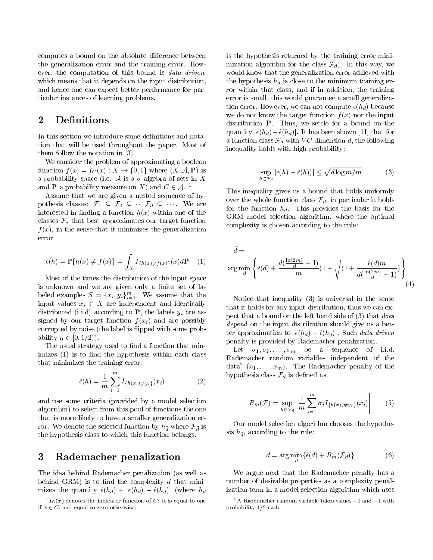computes a bound on the absolute difference between the generalization error and the training error. How ever, the computation of this bound is *data driven*, which means that it depends on the input distribution, and hence one can expect better performance for particular instances of learning problems.

#### $\overline{2}$ **Definitions**

In this section we introduce some definitions and notation that will be used throughout the paper. Most of them follow the notation in [3].

We consider the problem of approximating a boolean function  $f(x) = I_C(x) : X \to \{0,1\}$  where  $(X, \mathcal{A}, P)$  is a probability space (i.e. A is a  $\sigma$ -algebra of sets in X and **P** a probability measure on X), and  $C \in \mathcal{A}$ . <sup>1</sup>

Assume that we are given a nested sequence of hypothesis classes:  $\mathcal{F}_1 \subseteq \mathcal{F}_2 \subseteq \cdots \mathcal{F}_d \subseteq \cdots$  We are interested in finding a function  $h(x)$  within one of the classes  $\mathcal{F}_i$  that best approximates our target function  $f(x)$ , in the sense that it minimizes the generalization error

$$
\epsilon(h) = \mathbb{P}\{h(x) \neq f(x)\} = \int_X I_{\{h(x) \neq f(x)\}}(x) d\mathbf{P} \quad (1)
$$

Most of the times the distribution of the input space is unknown and we are given only a finite set of labeled examples  $S = \{x_i, y_i\}_{i=1}^{\infty}$ . We assume that the input values  $x_i \in X$  are independent and identically distributed (i.i.d) according to **P**, the labels  $y_i$  are assigned by our target function  $f(x_i)$  and are possibly corrupted by noise (the label is flipped with some probability  $\eta \in [0, 1/2)$ .

The usual strategy used to find a function that min $imizes (1)$  is to find the hypothesis within each class that minimizes the training error:

$$
\hat{\epsilon}(h) = \frac{1}{m} \sum_{i=1}^{m} I_{\{h(x_i) \neq y_i\}}(x_i)
$$
 (2)

and use some criteria (provided by a model selection algorithm) to select from this pool of functions the one that is more likely to have a smaller generalization error. We denote the selected function by  $\cdot_d$  where F  $_d$  is the hypothesis class to which this function belongs.

#### 3 Rademacher penalization

The idea behind Rademacher penalization (as well as behind GRM) is to find the complexity  $d$  that minimizes the quantity  $\hat{\epsilon}(h_d) + |\epsilon(h_d) - \hat{\epsilon}(h_d)|$  (where  $h_d$  is the hypothesis returned by the training error minimization algorithm for the class  $\mathcal{F}_d$ ). In this way, we would know that the generalization error achieved with the hypothesis  $h_d$  is close to the minimum training error within that class, and if in addition, the training error is small, this would guarantee a small generalization error. However, we can not compute  $\epsilon(h_d)$  because we do not know the target function  $f(x)$  nor the input distribution P. Thus, we settle for a bound on the quantity  $|\epsilon(h_d)-\hat{\epsilon}(h_d)|$ . It has been shown [11] that for a function class  $\mathcal{F}_d$  with VC dimension d, the following inequality holds with high probability:

$$
\sup_{h \in \mathcal{F}_d} |\epsilon(h) - \hat{\epsilon}(h))| \le \sqrt{d \log m / m} \tag{3}
$$

This inequality gives us a bound that holds uniformly over the whole function class  $\mathcal{F}_d$ , in particular it holds for the function  $h_d$ . This provides the basis for the GRM model selection algorithm, where the optimal complexity is chosen according to the rule:

$$
\tilde{d} = \operatorname{arg\,min}_{d} \left\{ \hat{\epsilon}(d) + \frac{d(\frac{\ln(2m)}{d} + 1)}{m} \left(1 + \sqrt{\left(1 + \frac{\hat{\epsilon}(d)m}{d(\frac{\ln(2m)}{d} + 1)}\right)} \right) \right\}
$$
(4)

Notice that inequality (3) is universal in the sense that it holds for any input distribution, thus we can expect that a bound on the left hand side of (3) that does depend on the input distribution should give us a better approximation to  $|\epsilon(h_d) - \hat{\epsilon}(h_d)|$ . Such data-driven penalty is provided by Rademacher penalization.

Let  $\sigma_1, \sigma_2, \ldots, \sigma_m$  be a sequence of i.i.d. Rademacher random variables independent of the data  $(x_1,\ldots,x_m)$ . The Rademacher penalty of the hypothesis class  $\mathcal{F}_d$  is defined as:

$$
R_m(\mathcal{F}) = \sup_{h \in \mathcal{F}_d} \left| \frac{1}{m} \sum_{i=1}^m \sigma_i I_{\{h(x_i) \neq y_i\}}(x_i) \right| \tag{5}
$$

Our model selection algorithm chooses the hypothesimilar to the rule:  $\alpha$  and  $\alpha$  the rule:

$$
\tilde{d} = \arg\min_{d} \{ \hat{\epsilon}(d) + R_m(\mathcal{F}_d) \} \tag{6}
$$

We argue next that the Rademacher penalty has a number of desirable properties as a complexity penalization term in a model selection algorithm which uses

 ${}^{1}I_{C}(x)$  denotes the indicator function of C: it is equal to one if  $x \in C$ , and equal to zero otherwise.

 $2A$  Rademacher random variable takes values  $+1$  and  $-1$  with probability 1/2 each.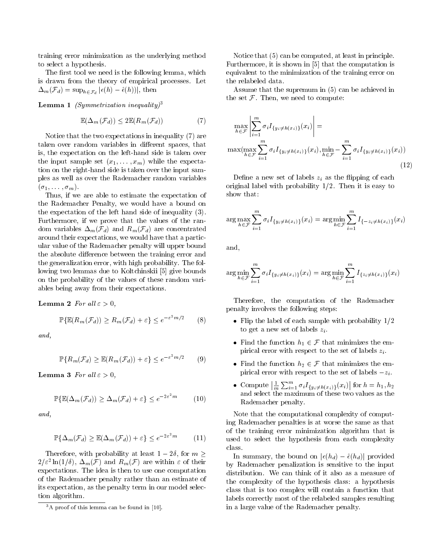training error minimization as the underlying method to select a hypothesis.

The first tool we need is the following lemma, which is drawn from the theory of empirical processes. Let  $-m(v-a)$  =  $-rn\in \mathcal{F}_d$  |  $(v \cdot)$  =  $(v \cdot)/|v|$ , then  $\mathcal{F}_d$ 

**Lemma 1** (Symmetrization inequality)<sup>3</sup>

$$
\mathbb{E}(\Delta_m(\mathcal{F}_d)) \le 2\mathbb{E}(R_m(\mathcal{F}_d))\tag{7}
$$

Notice that the two expectations in inequality (7) are taken over random variables in different spaces, that is, the expectation on the left-hand side is taken over the input sample set  $(x_1,\ldots,x_m)$  while the expectation on the right-hand side is taken over the input samples as well as over the Rademacher random variables  $(\sigma_1,\ldots,\sigma_m).$ 

Thus, if we are able to estimate the expectation of the Rademacher Penalty, we would have a bound on the expectation of the left hand side of inequality (3). Furthermore, if we prove that the values of the random variables  $\Delta_m(\mathcal{F}_d)$  and  $R_m(\mathcal{F}_d)$  are concentrated around their expectations, we would have that a particular value of the Rademacher penalty will upper bound the absolute difference between the training error and the generalization error, with high probability. The following two lemmas due to Koltchinskii [5] give bounds on the probability of the values of these random variables being away from their expectations.

Lemma 2 For all  $\varepsilon > 0$ ,

$$
\mathbb{P}\{\mathbb{E}(R_m(\mathcal{F}_d)) \ge R_m(\mathcal{F}_d) + \varepsilon\} \le e^{-\varepsilon^2 m/2} \qquad (8)
$$

and,

$$
\mathbb{P}\{R_m(\mathcal{F}_d) \ge \mathbb{E}(R_m(\mathcal{F}_d)) + \varepsilon\} \le e^{-\varepsilon^2 m/2} \qquad (9)
$$

**Lemma 3** For all  $\varepsilon > 0$ ,

$$
\mathbb{P}\{\mathbb{E}(\Delta_m(\mathcal{F}_d)) \ge \Delta_m(\mathcal{F}_d) + \varepsilon\} \le e^{-2\varepsilon^2 m} \tag{10}
$$

and,

$$
\mathbb{P}\{\Delta_m(\mathcal{F}_d) \ge \mathbb{E}(\Delta_m(\mathcal{F}_d)) + \varepsilon\} \le e^{-2\varepsilon^2 m} \tag{11}
$$

Therefore, with probability at least  $1 - 2\delta$ , for  $m \geq$  $2/\varepsilon$  -  $\ln(1/\theta)$ ,  $\Delta_m(\mathcal{F})$  and  $R_m(\mathcal{F})$  are within  $\varepsilon$  of their expectations. The idea is then to use one computation of the Rademacher penalty rather than an estimate of its expectation, as the penalty term in our model selection algorithm.

Notice that (5) can be computed, at least in principle. Furthermore, it is shown in [5] that the computation is equivalent to the minimization of the training error on the relabeled data.

Assume that the supremum in (5) can be achieved in the set  $\mathcal F$ . Then, we need to compute:

$$
\max_{h \in \mathcal{F}} \left| \sum_{i=1}^{m} \sigma_{i} I_{\{y_{i} \neq h(x_{i})\}}(x_{i}) \right| = \max(\max_{h \in \mathcal{F}} \sum_{i=1}^{m} \sigma_{i} I_{\{y_{i} \neq h(x_{i})\}}(x_{i}), \min_{h \in \mathcal{F}} - \sum_{i=1}^{m} \sigma_{i} I_{\{y_{i} \neq h(x_{i})\}}(x_{i}))
$$
\n(12)

Define a new set of labels  $z_i$  as the flipping of each original label with probability  $1/2$ . Then it is easy to show that:

$$
\arg \max_{h \in \mathcal{F}} \sum_{i=1}^{m} \sigma_i I_{\{y_i \neq h(x_i)\}}(x_i) = \arg \min_{h \in \mathcal{F}} \sum_{i=1}^{m} I_{\{-z_i \neq h(x_i)\}}(x_i)
$$

and,

$$
\arg \min_{h \in \mathcal{F}} \sum_{i=1}^{m} \sigma_i I_{\{y_i \neq h(x_i)\}}(x_i) = \arg \min_{h \in \mathcal{F}} \sum_{i=1}^{m} I_{\{z_i \neq h(x_i)\}}(x_i)
$$

Therefore, the computation of the Rademacher penalty involves the following steps:

- Flip the label of each sample with probability  $1/2$ to get a new set of labels  $z_i$ .
- Find the function  $h_1 \in \mathcal{F}$  that minimizes the empirical error with respect to the set of labels  $z_i$ .
- Find the function  $h_2 \in \mathcal{F}$  that minimizes the empirical error with respect to the set of labels  $-z_i$ .
- computer in the computer of the computer of the computer of the computation of the computation of the computation of the computation of the computation of the computation of the computation of the computation of the comput  $\left|\frac{1}{m}\sum_{i=1}^m \sigma_i I_{\{y_i\neq h(x_i)\}}(x_i)\right|$  for h for  $h = h_1, h_2$ and select the maximum of these two values as the Rademacher penalty.

Note that the computational complexity of computing Rademacher penalties is at worse the same as that of the training error minimization algorithm that is used to select the hypothesis from each complexity class.

In summary, the bound on  $|\epsilon(h_d) - \hat{\epsilon}(h_d)|$  provided by Rademacher penalization is sensitive to the input distribution. We can think of it also as a measure of the complexity of the hypothesis class: a hypothesis class that is too complex will contain a function that labels correctly most of the relabeled samples resulting in a large value of the Rademacher penalty.

 $3A$  proof of this lemma can be found in [10].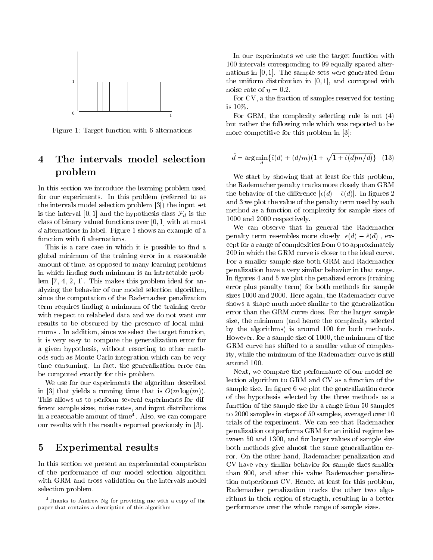

Figure 1: Target function with 6 alternations

#### $\overline{4}$ The intervals model selection problem

In this section we introduce the learning problem used for our experiments. In this problem (referred to as the intervals model selection problem [3]) the input set is the interval [0, 1] and the hypothesis class  $\mathcal{F}_d$  is the class of binary valued functions over  $[0, 1]$  with at most <sup>d</sup> alternations in label. Figure 1 shows an example of a function with 6 alternations.

This is a rare case in which it is possible to find a global minimum of the training error in a reasonable amount of time, as opposed to many learning problems in which finding such minimum is an intractable problem [7, 4, 2, 1]. This makes this problem ideal for analyzing the behavior of our model selection algorithm, since the computation of the Rademacher penalization term requires finding a minimum of the training error with respect to relabeled data and we do not want our results to be obscured by the presence of local mini mums . In addition, since we select the target function, it is very easy to compute the generalization error for a given hypothesis, without resorting to other methods such as Monte Carlo integration which can be very time consuming. In fact, the generalization error can be computed exactly for this problem.

We use for our experiments the algorithm described in [3] that yields a running time that is  $O(m \log(m))$ . This allows us to perform several experiments for different sample sizes, noise rates, and input distributions in a reasonable amount of time4 . Also, we can compare our results with the results reported previously in [3].

#### 5 Experimental results

In this section we present an experimental comparison of the performance of our model selection algorithm with GRM and cross validation on the intervals model selection problem.

In our experiments we use the target function with 100 intervals corresponding to 99 equally spaced alternations in  $[0, 1]$ . The sample sets were generated from the uniform distribution in  $[0, 1]$ , and corrupted with noise rate of  $\eta = 0.2$ .

For CV, a the fraction of samples reserved for testing  $\blacksquare$   $\blacksquare$   $\blacksquare$   $\blacksquare$   $\blacksquare$   $\blacksquare$   $\blacksquare$   $\blacksquare$   $\blacksquare$   $\blacksquare$   $\blacksquare$   $\blacksquare$   $\blacksquare$   $\blacksquare$   $\blacksquare$   $\blacksquare$   $\blacksquare$   $\blacksquare$   $\blacksquare$   $\blacksquare$   $\blacksquare$   $\blacksquare$   $\blacksquare$   $\blacksquare$   $\blacksquare$   $\blacksquare$   $\blacksquare$   $\blacksquare$   $\blacksquare$   $\blacksquare$   $\blacksquare$   $\blacks$ 

For GRM, the complexity selecting rule is not (4) but rather the following rule which was reported to be more competitive for this problem in [3]:

$$
\tilde{d} = \arg\min_{d} \{ \hat{\epsilon}(d) + (d/m)(1 + \sqrt{1 + \hat{\epsilon}(d)m/d)} \} \quad (13)
$$

We start by showing that at least for this problem, the Rademacher penalty tracks more closely than GRM the behavior of the difference  $|\epsilon(d) - \hat{\epsilon}(d)|$ . In figures 2 and 3 we plot the value of the penalty term used by each method as a function of complexity for sample sizes of 1000 and 2000 respectively.

We can observe that in general the Rademacher penalty term resembles more closely  $|\epsilon(d) - \hat{\epsilon}(d)|$ , except for a range of complexities from 0 to approximately 200 in which the GRM curve is closer to the ideal curve. For a smaller sample size both GRM and Rademacher penalization have a very similar behavior in that range. In figures 4 and 5 we plot the penalized errors (training error plus penalty term) for both methods for sample sizes 1000 and 2000. Here again, the Rademacher curve shows a shape much more similar to the generalization error than the GRM curve does. For the larger sample size, the minimum (and hence the complexity selected by the algorithms) is around 100 for both methods. However, for a sample size of 1000, the minimum of the GRM curve has shifted to a smaller value of complexity, while the minimum of the Rademacher curve is still around 100.

Next, we compare the performance of our model selection algorithm to GRM and CV as a function of the sample size. In figure 6 we plot the generalization error of the hypothesis selected by the three methods as a function of the sample size for a range from 50 samples to 2000 samples in steps of 50 samples, averaged over 10 trials of the experiment. We can see that Rademacher penalization outperforms GRM for an initial regime between 50 and 1300, and for larger values of sample size both methods give almost the same generalization error. On the other hand, Rademacher penalization and CV have very similar behavior for sample sizes smaller than 900, and after this value Rademacher penalization outperforms CV. Hence, at least for this problem, Rademacher penalization tracks the other two algorithms in their region of strength, resulting in a better performance over the whole range of sample sizes.

<sup>4</sup>Thanks to Andrew Ng for providing me with a copy of the paper that contains a description of this algorithm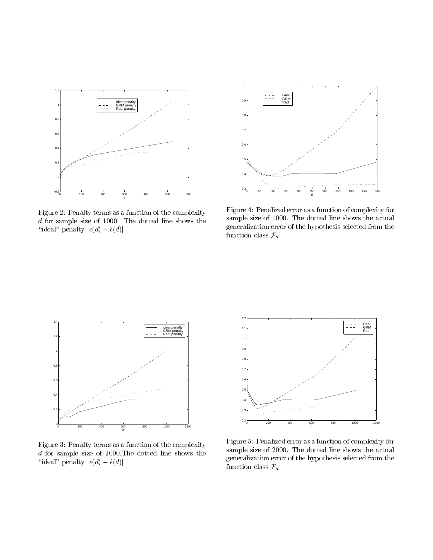

Figure 2: Penalty terms as a function of the complexity <sup>d</sup> for sample size of 1000. The dotted line shows the "ideal" penalty  $|\epsilon(d) - \hat{\epsilon}(d)|$ 



Figure 4: Penalized error as a function of complexity for sample size of 1000. The dotted line shows the actual generalization error of the hypothesis selected from the function class  $\mathcal{F}_d$ 



Figure 3: Penalty terms as a function of the complexity <sup>d</sup> for sample size of 2000.The dotted line shows the "ideal" penalty  $|\epsilon(d) - \hat{\epsilon}(d)|$ 



Figure 5: Penalized error as a function of complexity for sample size of 2000. The dotted line shows the actual generalization error of the hypothesis selected from the function class  $\mathcal{F}_d$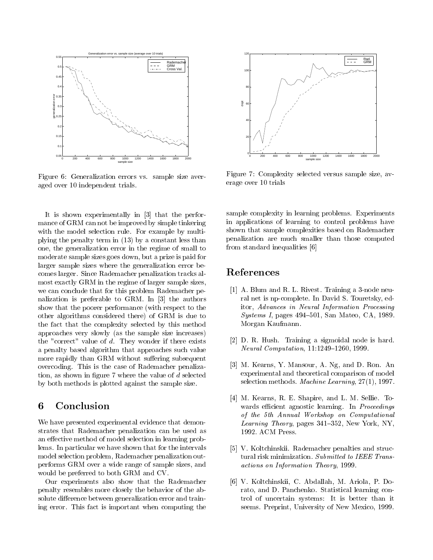

Figure 6: Generalization errors vs. sample size averaged over 10 independent trials.

It is shown experimentally in [3] that the performance of GRM can not be improved by simple tinkering with the model selection rule. For example by multiplying the penalty term in (13) by a constant less than one, the generalization error in the regime of small to moderate sample sizes goes down, but a prize is paid for larger sample sizes where the generalization error becomes larger. Since Rademacher penalization tracks almost exactly GRM in the regime of larger sample sizes, we can conclude that for this problem Rademacher penalization is preferable to GRM. In [3] the authors show that the poorer performance (with respect to the other algorithms considered there) of GRM is due to the fact that the complexity selected by this method approaches very slowly (as the sample size increases) the "correct" value of  $d$ . They wonder if there exists a penalty based algorithm that approaches such value more rapidly than GRM without suffering subsequent overcoding. This is the case of Rademacher penalization, as shown in figure 7 where the value of  $d$  selected by both methods is plotted against the sample size.

We have presented experimental evidence that demonstrates that Rademacher penalization can be used as an effective method of model selection in learning problems. In particular we have shown that for the intervals model selection problem, Rademacher penalization outperforms GRM over a wide range of sample sizes, and would be preferred to both GRM and CV.

Our experiments also show that the Rademacher penalty resembles more closely the behavior of the absolute difference between generalization error and training error. This fact is important when computing the



Figure 7: Complexity selected versus sample size, av erage over 10 trials

sample complexity in learning problems. Experiments in applications of learning to control problems have shown that sample complexities based on Rademacher penalization are much smaller than those computed from standard inequalities [6]

### References

- [1] A. Blum and R. L. Rivest. Training a 3-node neural net is np-complete. In David S. Touretsky, editor, Advances in Neural Information Processing  $Systems I, pages 494–501, San Mateo, CA, 1989.$ Morgan Kaufmann.
- [2] D. R. Hush. Training a sigmoidal node is hard. Neural Computation, 11:1249-1260, 1999.
- [3] M. Kearns, Y. Mansour, A. Ng, and D. Ron. An experimental and theoretical comparison of model selection methods. Machine Learning, 27(1), 1997.
- [4] M. Kearns, R. E. Shapire, and L. M. Sellie. To wards efficient agnostic learning. In Proceedings of the 5th Annual Workshop on Computational Learning Theory, pages  $341-352$ , New York, NY, 1992. ACM Press.
- [5] V. Koltchinskii. Rademacher penalties and structural risk minimization. Submitted to IEEE Transactions on Information Theory, 1999.
- [6] V. Koltchinskii, C. Abdallah, M. Ariola, P. Dorato, and D. Panchenko. Statistical learning control of uncertain systems: It is better than it seems. Preprint, University of New Mexico, 1999.